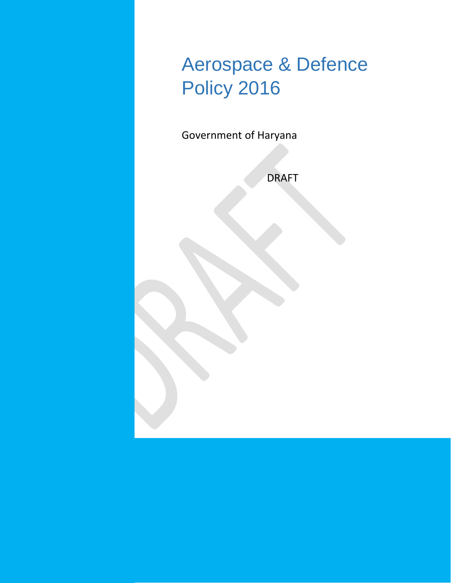

Government of Haryana

DRAFT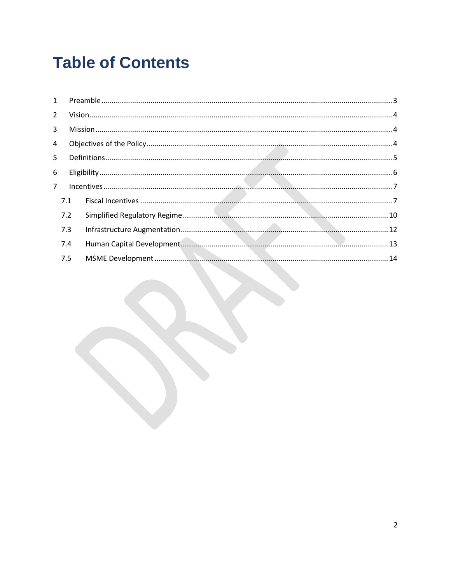# **Table of Contents**

| 5.  |  |  |  |  |
|-----|--|--|--|--|
|     |  |  |  |  |
|     |  |  |  |  |
| 7.1 |  |  |  |  |
| 7.2 |  |  |  |  |
| 7.3 |  |  |  |  |
| 7.4 |  |  |  |  |
| 7.5 |  |  |  |  |
|     |  |  |  |  |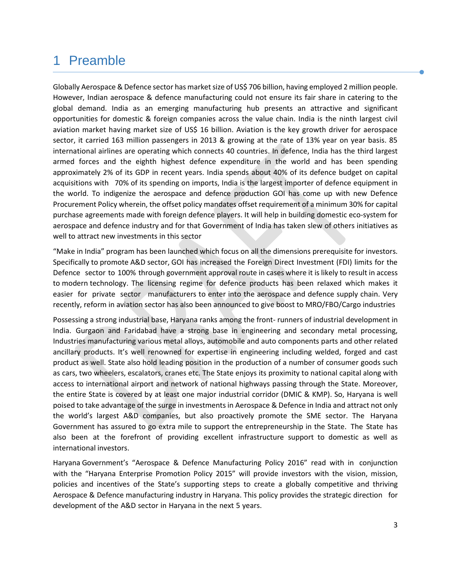# <span id="page-2-0"></span>1 Preamble

Globally Aerospace & Defence sector has market size of US\$ 706 billion, having employed 2 million people. However, Indian aerospace & defence manufacturing could not ensure its fair share in catering to the global demand. India as an emerging manufacturing hub presents an attractive and significant opportunities for domestic & foreign companies across the value chain. India is the ninth largest civil aviation market having market size of US\$ 16 billion. Aviation is the key growth driver for aerospace sector, it carried 163 million passengers in 2013 & growing at the rate of 13% year on year basis. 85 international airlines are operating which connects 40 countries. In defence, India has the third largest armed forces and the eighth highest defence expenditure in the world and has been spending approximately 2% of its GDP in recent years. India spends about 40% of its defence budget on capital acquisitions with 70% of its spending on imports, India is the largest importer of defence equipment in the world. To indigenize the aerospace and defence production GOI has come up with new Defence Procurement Policy wherein, the offset policy mandates offset requirement of a minimum 30% for capital purchase agreements made with foreign defence players. It will help in building domestic eco-system for aerospace and defence industry and for that Government of India has taken slew of others initiatives as well to attract new investments in this sector

"Make in India" program has been launched which focus on all the dimensions prerequisite for investors. Specifically to promote A&D sector, GOI has increased the Foreign Direct Investment (FDI) limits for the Defence sector to 100% through government approval route in cases where it is likely to result in access to modern technology. The licensing regime for defence products has been relaxed which makes it easier for private sector manufacturers to enter into the aerospace and defence supply chain. Very recently, reform in aviation sector has also been announced to give boost to MRO/FBO/Cargo industries

Possessing a strong industrial base, Haryana ranks among the front- runners of industrial development in India. Gurgaon and Faridabad have a strong base in engineering and secondary metal processing, Industries manufacturing various metal alloys, automobile and auto components parts and other related ancillary products. It's well renowned for expertise in engineering including welded, forged and cast product as well. State also hold leading position in the production of a number of consumer goods such as cars, two wheelers, escalators, cranes etc. The State enjoys its proximity to national capital along with access to international airport and network of national highways passing through the State. Moreover, the entire State is covered by at least one major industrial corridor (DMIC & KMP). So, Haryana is well poised to take advantage of the surge in investments in Aerospace & Defence in India and attract not only the world's largest A&D companies, but also proactively promote the SME sector. The Haryana Government has assured to go extra mile to support the entrepreneurship in the State. The State has also been at the forefront of providing excellent infrastructure support to domestic as well as international investors.

Haryana Government's "Aerospace & Defence Manufacturing Policy 2016" read with in conjunction with the "Haryana Enterprise Promotion Policy 2015" will provide investors with the vision, mission, policies and incentives of the State's supporting steps to create a globally competitive and thriving Aerospace & Defence manufacturing industry in Haryana. This policy provides the strategic direction for development of the A&D sector in Haryana in the next 5 years.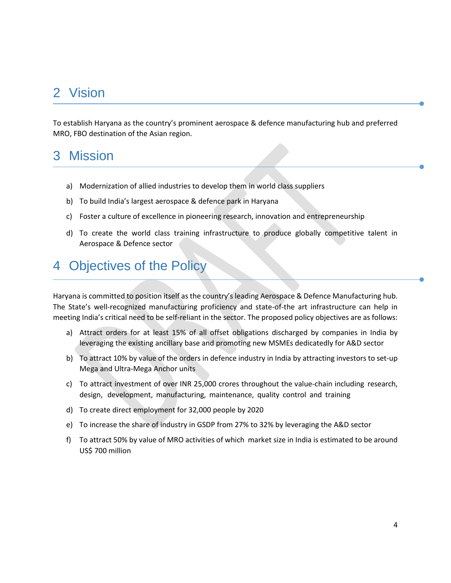# <span id="page-3-0"></span>2 Vision

To establish Haryana as the country's prominent aerospace & defence manufacturing hub and preferred MRO, FBO destination of the Asian region.

# <span id="page-3-1"></span>3 Mission

- a) Modernization of allied industries to develop them in world class suppliers
- b) To build India's largest aerospace & defence park in Haryana
- c) Foster a culture of excellence in pioneering research, innovation and entrepreneurship
- d) To create the world class training infrastructure to produce globally competitive talent in Aerospace & Defence sector

# <span id="page-3-2"></span>4 Objectives of the Policy

Haryana is committed to position itself as the country's leading Aerospace & Defence Manufacturing hub. The State's well-recognized manufacturing proficiency and state-of-the art infrastructure can help in meeting India's critical need to be self-reliant in the sector. The proposed policy objectives are as follows:

- a) Attract orders for at least 15% of all offset obligations discharged by companies in India by leveraging the existing ancillary base and promoting new MSMEs dedicatedly for A&D sector
- b) To attract 10% by value of the orders in defence industry in India by attracting investors to set-up Mega and Ultra-Mega Anchor units
- c) To attract investment of over INR 25,000 crores throughout the value-chain including research, design, development, manufacturing, maintenance, quality control and training
- d) To create direct employment for 32,000 people by 2020
- e) To increase the share of industry in GSDP from 27% to 32% by leveraging the A&D sector
- f) To attract 50% by value of MRO activities of which market size in India is estimated to be around US\$ 700 million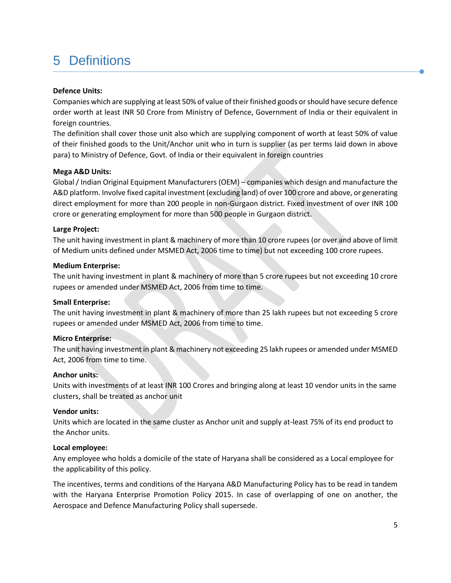# <span id="page-4-0"></span>5 Definitions

## **Defence Units:**

Companies which are supplying at least 50% of value of their finished goods or should have secure defence order worth at least INR 50 Crore from Ministry of Defence, Government of India or their equivalent in foreign countries.

The definition shall cover those unit also which are supplying component of worth at least 50% of value of their finished goods to the Unit/Anchor unit who in turn is supplier (as per terms laid down in above para) to Ministry of Defence, Govt. of India or their equivalent in foreign countries

## **Mega A&D Units:**

Global / Indian Original Equipment Manufacturers (OEM) – companies which design and manufacture the A&D platform. Involve fixed capital investment (excluding land) of over 100 crore and above, or generating direct employment for more than 200 people in non-Gurgaon district. Fixed investment of over INR 100 crore or generating employment for more than 500 people in Gurgaon district.

## **Large Project:**

The unit having investment in plant & machinery of more than 10 crore rupees (or over and above of limit of Medium units defined under MSMED Act, 2006 time to time) but not exceeding 100 crore rupees.

#### **Medium Enterprise:**

The unit having investment in plant & machinery of more than 5 crore rupees but not exceeding 10 crore rupees or amended under MSMED Act, 2006 from time to time.

#### **Small Enterprise:**

The unit having investment in plant & machinery of more than 25 lakh rupees but not exceeding 5 crore rupees or amended under MSMED Act, 2006 from time to time.

# **Micro Enterprise:**

The unit having investment in plant & machinery not exceeding 25 lakh rupees or amended under MSMED Act, 2006 from time to time.

#### **Anchor units:**

Units with investments of at least INR 100 Crores and bringing along at least 10 vendor units in the same clusters, shall be treated as anchor unit

#### **Vendor units:**

Units which are located in the same cluster as Anchor unit and supply at-least 75% of its end product to the Anchor units.

#### **Local employee:**

Any employee who holds a domicile of the state of Haryana shall be considered as a Local employee for the applicability of this policy.

The incentives, terms and conditions of the Haryana A&D Manufacturing Policy has to be read in tandem with the Haryana Enterprise Promotion Policy 2015. In case of overlapping of one on another, the Aerospace and Defence Manufacturing Policy shall supersede.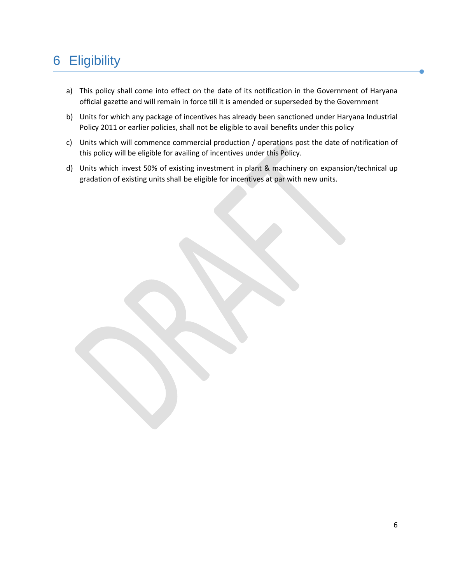# <span id="page-5-0"></span>6 Eligibility

- a) This policy shall come into effect on the date of its notification in the Government of Haryana official gazette and will remain in force till it is amended or superseded by the Government
- b) Units for which any package of incentives has already been sanctioned under Haryana Industrial Policy 2011 or earlier policies, shall not be eligible to avail benefits under this policy
- c) Units which will commence commercial production / operations post the date of notification of this policy will be eligible for availing of incentives under this Policy.
- d) Units which invest 50% of existing investment in plant & machinery on expansion/technical up gradation of existing units shall be eligible for incentives at par with new units.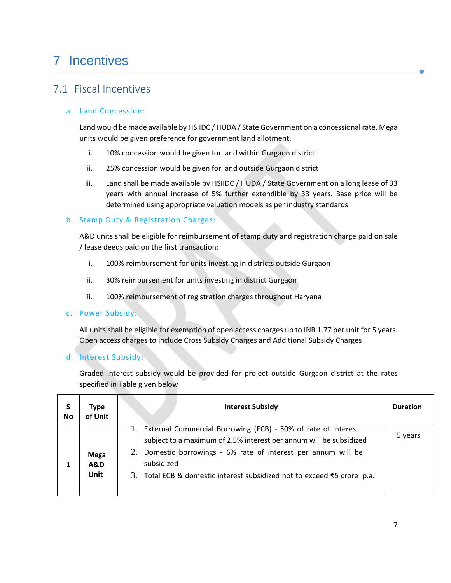# <span id="page-6-0"></span>7 Incentives

# <span id="page-6-1"></span>7.1 Fiscal Incentives

# a. Land Concession:

Land would be made available by HSIIDC / HUDA / State Government on a concessional rate. Mega units would be given preference for government land allotment.

- i. 10% concession would be given for land within Gurgaon district
- ii. 25% concession would be given for land outside Gurgaon district
- iii. Land shall be made available by HSIIDC / HUDA / State Government on a long lease of 33 years with annual increase of 5% further extendible by 33 years. Base price will be determined using appropriate valuation models as per industry standards

## b. Stamp Duty & Registration Charges:

A&D units shall be eligible for reimbursement of stamp duty and registration charge paid on sale / lease deeds paid on the first transaction:

- i. 100% reimbursement for units investing in districts outside Gurgaon
- ii. 30% reimbursement for units investing in district Gurgaon
- iii. 100% reimbursement of registration charges throughout Haryana

#### c. Power Subsidy:

All units shall be eligible for exemption of open access charges up to INR 1.77 per unit for 5 years. Open access charges to include Cross Subsidy Charges and Additional Subsidy Charges

d. Interest Subsidy:

Graded interest subsidy would be provided for project outside Gurgaon district at the rates specified in Table given below

| S<br>No | Type<br>of Unit                       | <b>Interest Subsidy</b>                                                                                                                                                                                                                                                                           | <b>Duration</b> |
|---------|---------------------------------------|---------------------------------------------------------------------------------------------------------------------------------------------------------------------------------------------------------------------------------------------------------------------------------------------------|-----------------|
|         | <b>Mega</b><br><b>A&amp;D</b><br>Unit | 1. External Commercial Borrowing (ECB) - 50% of rate of interest<br>subject to a maximum of 2.5% interest per annum will be subsidized<br>2. Domestic borrowings - 6% rate of interest per annum will be<br>subsidized<br>3. Total ECB & domestic interest subsidized not to exceed ₹5 crore p.a. | 5 years         |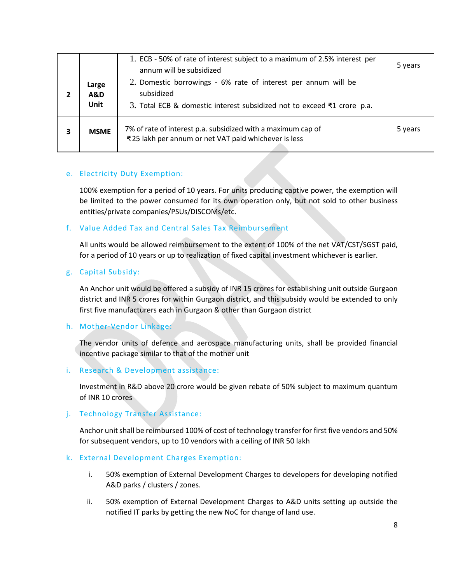| Large<br><b>A&amp;D</b><br>Unit | 1. ECB - 50% of rate of interest subject to a maximum of 2.5% interest per<br>annum will be subsidized<br>2. Domestic borrowings - 6% rate of interest per annum will be<br>subsidized<br>3. Total ECB & domestic interest subsidized not to exceed ₹1 crore p.a. | 5 years |
|---------------------------------|-------------------------------------------------------------------------------------------------------------------------------------------------------------------------------------------------------------------------------------------------------------------|---------|
| <b>MSME</b>                     | 7% of rate of interest p.a. subsidized with a maximum cap of<br>₹25 lakh per annum or net VAT paid whichever is less                                                                                                                                              | 5 years |

# e. Electricity Duty Exemption:

100% exemption for a period of 10 years. For units producing captive power, the exemption will be limited to the power consumed for its own operation only, but not sold to other business entities/private companies/PSUs/DISCOMs/etc.

## f. Value Added Tax and Central Sales Tax Reimbursement

All units would be allowed reimbursement to the extent of 100% of the net VAT/CST/SGST paid, for a period of 10 years or up to realization of fixed capital investment whichever is earlier.

#### g. Capital Subsidy:

An Anchor unit would be offered a subsidy of INR 15 crores for establishing unit outside Gurgaon district and INR 5 crores for within Gurgaon district, and this subsidy would be extended to only first five manufacturers each in Gurgaon & other than Gurgaon district

# h. Mother-Vendor Linkage:

The vendor units of defence and aerospace manufacturing units, shall be provided financial incentive package similar to that of the mother unit

#### i. Research & Development assistance:

Investment in R&D above 20 crore would be given rebate of 50% subject to maximum quantum of INR 10 crores

#### j. Technology Transfer Assistance:

Anchor unit shall be reimbursed 100% of cost of technology transfer for first five vendors and 50% for subsequent vendors, up to 10 vendors with a ceiling of INR 50 lakh

#### k. External Development Charges Exemption:

- i. 50% exemption of External Development Charges to developers for developing notified A&D parks / clusters / zones.
- ii. 50% exemption of External Development Charges to A&D units setting up outside the notified IT parks by getting the new NoC for change of land use.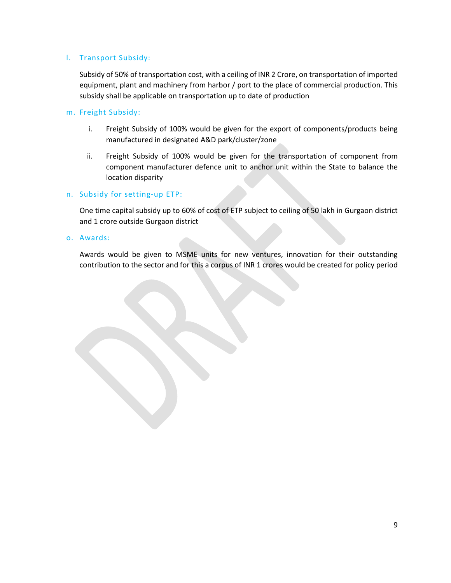## l. Transport Subsidy:

Subsidy of 50% of transportation cost, with a ceiling of INR 2 Crore, on transportation of imported equipment, plant and machinery from harbor / port to the place of commercial production. This subsidy shall be applicable on transportation up to date of production

#### m. Freight Subsidy:

- i. Freight Subsidy of 100% would be given for the export of components/products being manufactured in designated A&D park/cluster/zone
- ii. Freight Subsidy of 100% would be given for the transportation of component from component manufacturer defence unit to anchor unit within the State to balance the location disparity

#### n. Subsidy for setting-up ETP:

One time capital subsidy up to 60% of cost of ETP subject to ceiling of 50 lakh in Gurgaon district and 1 crore outside Gurgaon district

o. Awards:

<span id="page-8-0"></span>Awards would be given to MSME units for new ventures, innovation for their outstanding contribution to the sector and for this a corpus of INR 1 crores would be created for policy period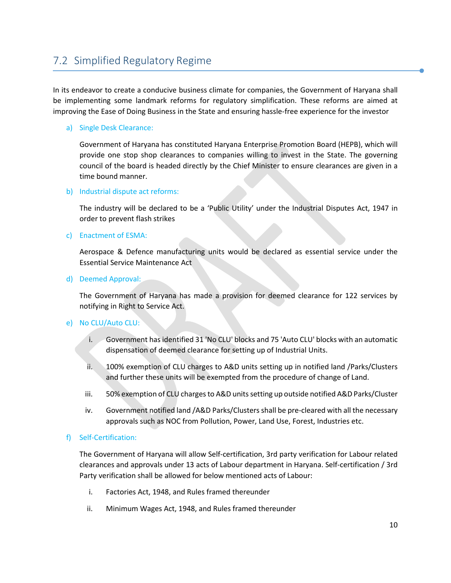# 7.2 Simplified Regulatory Regime

In its endeavor to create a conducive business climate for companies, the Government of Haryana shall be implementing some landmark reforms for regulatory simplification. These reforms are aimed at improving the Ease of Doing Business in the State and ensuring hassle-free experience for the investor

## a) Single Desk Clearance:

Government of Haryana has constituted Haryana Enterprise Promotion Board (HEPB), which will provide one stop shop clearances to companies willing to invest in the State. The governing council of the board is headed directly by the Chief Minister to ensure clearances are given in a time bound manner.

#### b) Industrial dispute act reforms:

The industry will be declared to be a 'Public Utility' under the Industrial Disputes Act, 1947 in order to prevent flash strikes

#### c) Enactment of ESMA:

Aerospace & Defence manufacturing units would be declared as essential service under the Essential Service Maintenance Act

d) Deemed Approval:

The Government of Haryana has made a provision for deemed clearance for 122 services by notifying in Right to Service Act.

#### e) No CLU/Auto CLU:

- i. Government has identified 31 'No CLU' blocks and 75 'Auto CLU' blocks with an automatic dispensation of deemed clearance for setting up of Industrial Units.
- ii. 100% exemption of CLU charges to A&D units setting up in notified land /Parks/Clusters and further these units will be exempted from the procedure of change of Land.
- iii. 50% exemption of CLU charges to A&D units setting up outside notified A&D Parks/Cluster
- iv. Government notified land /A&D Parks/Clusters shall be pre-cleared with all the necessary approvals such as NOC from Pollution, Power, Land Use, Forest, Industries etc.

#### f) Self-Certification:

The Government of Haryana will allow Self-certification, 3rd party verification for Labour related clearances and approvals under 13 acts of Labour department in Haryana. Self-certification / 3rd Party verification shall be allowed for below mentioned acts of Labour:

- i. Factories Act, 1948, and Rules framed thereunder
- ii. Minimum Wages Act, 1948, and Rules framed thereunder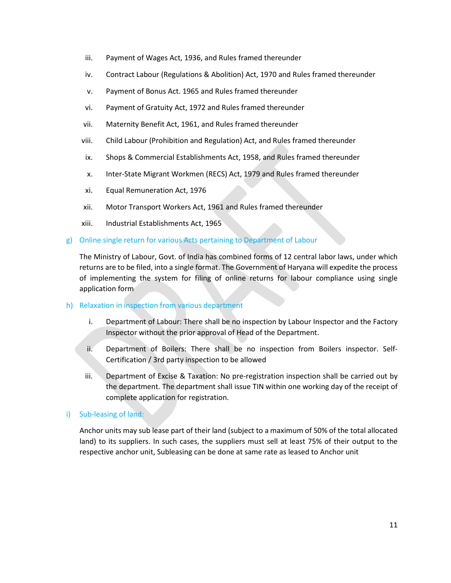- iii. Payment of Wages Act, 1936, and Rules framed thereunder
- iv. Contract Labour (Regulations & Abolition) Act, 1970 and Rules framed thereunder
- v. Payment of Bonus Act. 1965 and Rules framed thereunder
- vi. Payment of Gratuity Act, 1972 and Rules framed thereunder
- vii. Maternity Benefit Act, 1961, and Rules framed thereunder
- viii. Child Labour (Prohibition and Regulation) Act, and Rules framed thereunder
- ix. Shops & Commercial Establishments Act, 1958, and Rules framed thereunder
- x. Inter-State Migrant Workmen (RECS) Act, 1979 and Rules framed thereunder
- xi. Equal Remuneration Act, 1976
- xii. Motor Transport Workers Act, 1961 and Rules framed thereunder
- xiii. Industrial Establishments Act, 1965

#### g) Online single return for various Acts pertaining to Department of Labour

The Ministry of Labour, Govt. of India has combined forms of 12 central labor laws, under which returns are to be filed, into a single format. The Government of Haryana will expedite the process of implementing the system for filing of online returns for labour compliance using single application form

#### h) Relaxation in inspection from various department

- i. Department of Labour: There shall be no inspection by Labour Inspector and the Factory Inspector without the prior approval of Head of the Department.
- ii. Department of Boilers: There shall be no inspection from Boilers inspector. Self-Certification / 3rd party inspection to be allowed
- iii. Department of Excise & Taxation: No pre-registration inspection shall be carried out by the department. The department shall issue TIN within one working day of the receipt of complete application for registration.

#### i) Sub-leasing of land:

<span id="page-10-0"></span>Anchor units may sub lease part of their land (subject to a maximum of 50% of the total allocated land) to its suppliers. In such cases, the suppliers must sell at least 75% of their output to the respective anchor unit, Subleasing can be done at same rate as leased to Anchor unit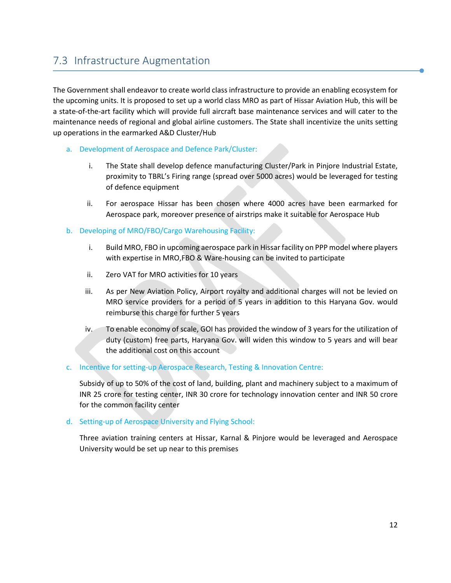# 7.3 Infrastructure Augmentation

The Government shall endeavor to create world class infrastructure to provide an enabling ecosystem for the upcoming units. It is proposed to set up a world class MRO as part of Hissar Aviation Hub, this will be a state-of-the-art facility which will provide full aircraft base maintenance services and will cater to the maintenance needs of regional and global airline customers. The State shall incentivize the units setting up operations in the earmarked A&D Cluster/Hub

#### a. Development of Aerospace and Defence Park/Cluster:

- i. The State shall develop defence manufacturing Cluster/Park in Pinjore Industrial Estate, proximity to TBRL's Firing range (spread over 5000 acres) would be leveraged for testing of defence equipment
- ii. For aerospace Hissar has been chosen where 4000 acres have been earmarked for Aerospace park, moreover presence of airstrips make it suitable for Aerospace Hub

## b. Developing of MRO/FBO/Cargo Warehousing Facility:

- i. Build MRO, FBO in upcoming aerospace park in Hissar facility on PPP model where players with expertise in MRO,FBO & Ware-housing can be invited to participate
- ii. Zero VAT for MRO activities for 10 years
- iii. As per New Aviation Policy, Airport royalty and additional charges will not be levied on MRO service providers for a period of 5 years in addition to this Haryana Gov. would reimburse this charge for further 5 years
- iv. To enable economy of scale, GOI has provided the window of 3 years for the utilization of duty (custom) free parts, Haryana Gov. will widen this window to 5 years and will bear the additional cost on this account

#### c. Incentive for setting-up Aerospace Research, Testing & Innovation Centre:

Subsidy of up to 50% of the cost of land, building, plant and machinery subject to a maximum of INR 25 crore for testing center, INR 30 crore for technology innovation center and INR 50 crore for the common facility center

# d. Setting-up of Aerospace University and Flying School:

<span id="page-11-0"></span>Three aviation training centers at Hissar, Karnal & Pinjore would be leveraged and Aerospace University would be set up near to this premises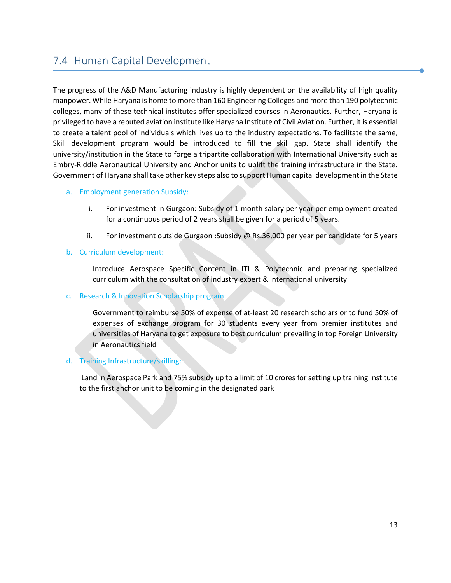# 7.4 Human Capital Development

The progress of the A&D Manufacturing industry is highly dependent on the availability of high quality manpower. While Haryana is home to more than 160 Engineering Colleges and more than 190 polytechnic colleges, many of these technical institutes offer specialized courses in Aeronautics. Further, Haryana is privileged to have a reputed aviation institute like Haryana Institute of Civil Aviation. Further, it is essential to create a talent pool of individuals which lives up to the industry expectations. To facilitate the same, Skill development program would be introduced to fill the skill gap. State shall identify the university/institution in the State to forge a tripartite collaboration with International University such as Embry-Riddle Aeronautical University and Anchor units to uplift the training infrastructure in the State. Government of Haryana shall take other key steps also to support Human capital development in the State

#### a. Employment generation Subsidy:

- i. For investment in Gurgaon: Subsidy of 1 month salary per year per employment created for a continuous period of 2 years shall be given for a period of 5 years.
- ii. For investment outside Gurgaon :Subsidy @ Rs.36,000 per year per candidate for 5 years
- b. Curriculum development:

Introduce Aerospace Specific Content in ITI & Polytechnic and preparing specialized curriculum with the consultation of industry expert & international university

## c. Research & Innovation Scholarship program:

Government to reimburse 50% of expense of at-least 20 research scholars or to fund 50% of expenses of exchange program for 30 students every year from premier institutes and universities of Haryana to get exposure to best curriculum prevailing in top Foreign University in Aeronautics field

# d. Training Infrastructure/skilling:

<span id="page-12-0"></span>Land in Aerospace Park and 75% subsidy up to a limit of 10 crores for setting up training Institute to the first anchor unit to be coming in the designated park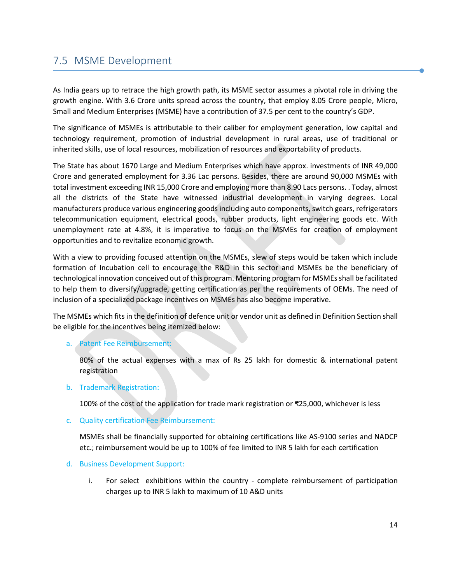# 7.5 MSME Development

As India gears up to retrace the high growth path, its MSME sector assumes a pivotal role in driving the growth engine. With 3.6 Crore units spread across the country, that employ 8.05 Crore people, Micro, Small and Medium Enterprises (MSME) have a contribution of 37.5 per cent to the country's GDP.

The significance of MSMEs is attributable to their caliber for employment generation, low capital and technology requirement, promotion of industrial development in rural areas, use of traditional or inherited skills, use of local resources, mobilization of resources and exportability of products.

The State has about 1670 Large and Medium Enterprises which have approx. investments of INR 49,000 Crore and generated employment for 3.36 Lac persons. Besides, there are around 90,000 MSMEs with total investment exceeding INR 15,000 Crore and employing more than 8.90 Lacs persons. . Today, almost all the districts of the State have witnessed industrial development in varying degrees. Local manufacturers produce various engineering goods including auto components, switch gears, refrigerators telecommunication equipment, electrical goods, rubber products, light engineering goods etc. With unemployment rate at 4.8%, it is imperative to focus on the MSMEs for creation of employment opportunities and to revitalize economic growth.

With a view to providing focused attention on the MSMEs, slew of steps would be taken which include formation of Incubation cell to encourage the R&D in this sector and MSMEs be the beneficiary of technological innovation conceived out of this program. Mentoring program for MSMEs shall be facilitated to help them to diversify/upgrade, getting certification as per the requirements of OEMs. The need of inclusion of a specialized package incentives on MSMEs has also become imperative.

The MSMEs which fits in the definition of defence unit or vendor unit as defined in Definition Section shall be eligible for the incentives being itemized below:

#### a. Patent Fee Reimbursement:

80% of the actual expenses with a max of Rs 25 lakh for domestic & international patent registration

b. Trademark Registration:

100% of the cost of the application for trade mark registration or ₹25,000, whichever is less

c. Quality certification Fee Reimbursement:

MSMEs shall be financially supported for obtaining certifications like AS-9100 series and NADCP etc.; reimbursement would be up to 100% of fee limited to INR 5 lakh for each certification

- d. Business Development Support:
	- i. For select exhibitions within the country complete reimbursement of participation charges up to INR 5 lakh to maximum of 10 A&D units